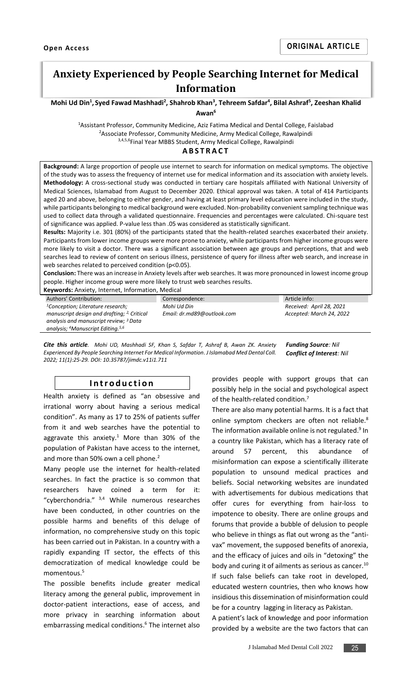# **Anxiety Experienced by People Searching Internet for Medical Information**

**Mohi Ud Din<sup>1</sup> , Syed Fawad Mashhadi<sup>2</sup> , Shahrob Khan<sup>3</sup> , Tehreem Safdar<sup>4</sup> , Bilal Ashraf<sup>5</sup> , Zeeshan Khalid** 

**Awan<sup>6</sup>**

<sup>1</sup>Assistant Professor, Community Medicine, Aziz Fatima Medical and Dental College, Faislabad <sup>2</sup>Associate Professor, Community Medicine, Army Medical College, Rawalpindi 3,4,5,6Final Year MBBS Student, Army Medical College, Rawalpindi

## **A B S T R A C T**

**Background:** A large proportion of people use internet to search for information on medical symptoms. The objective of the study was to assess the frequency of internet use for medical information and its association with anxiety levels. **Methodology:** A cross-sectional study was conducted in tertiary care hospitals affiliated with National University of Medical Sciences, Islamabad from August to December 2020. Ethical approval was taken. A total of 414 Participants aged 20 and above, belonging to either gender, and having at least primary level education were included in the study, while participants belonging to medical background were excluded. Non-probability convenient sampling technique was used to collect data through a validated questionnaire. Frequencies and percentages were calculated. Chi-square test of significance was applied. P-value less than .05 was considered as statistically significant.

**Results:** Majority i.e. 301 (80%) of the participants stated that the health-related searches exacerbated their anxiety. Participants from lower income groups were more prone to anxiety, while participants from higher income groups were more likely to visit a doctor. There was a significant association between age groups and perceptions, that and web searches lead to review of content on serious illness, persistence of query for illness after web search, and increase in web searches related to perceived condition (p<0.05).

**Conclusion:** There was an increase in Anxiety levels after web searches. It was more pronounced in lowest income group people. Higher income group were more likely to trust web searches results.

**Keywords:** Anxiety, Internet, Information, Medical

Authors' Contribution: *<sup>1</sup>Conception; Literature research; manuscript design and drafting; 2, Critical analysis and manuscript review; <sup>3</sup>Data analysis; <sup>4</sup>Manuscript Editing. 5,6* Correspondence: *Mohi Ud Din Email: dr.md89@outlook.com* Article info: *Received: April 28, 2021 Accepted: March 24, 2022*

*Cite this article. Mohi UD, Mashhadi SF, Khan S, Safdar T, Ashraf B, Awan ZK. Anxiety Experienced By People Searching Internet For Medical Information. J Islamabad Med Dental Coll. 2022; 11(1):25-29. DOI: 10.35787/jimdc.v11i1.711 Funding Source: Nil Conflict of Interest: Nil*

## **I n t r o d u c t i o n**

Health anxiety is defined as "an obsessive and irrational worry about having a serious medical condition". As many as 17 to 25% of patients suffer from it and web searches have the potential to aggravate this anxiety[.](#page-4-0) $1$  More than 30% of the population of Pakistan have access to the internet, and more than 50% own a cell phon[e.](#page-4-1)<sup>2</sup>

Many people use the internet for health-related searches. In fact the practice is so common that researchers have coined a term for it: "cyberchondria.["](#page-4-2) 3,4 While numerous researches have been conducted, in other countries on the possible harms and benefits of this deluge of information, no comprehensive study on this topic has been carried out in Pakistan. In a country with a rapidly expanding IT sector, the effects of this democratization of medical knowledge could be momentous.[5](#page-4-3)

The possible benefits include greater medical literacy among the general public, improvement in doctor-patient interactions, ease of access, and more privacy in searching information about embarrassing medical conditions. [6](#page-4-4) The internet also provides people with support groups that can possibly help in the social and psychological aspect of the health-related condition[.](#page-4-5)<sup>7</sup>

There are also many potential harms. It is a fact that online symptom checkers are often not reliable[.](#page-4-6)<sup>8</sup> The information available online is not regulated.<sup>[9](#page-4-7)</sup> In a country like Pakistan, which has a literacy rate of around 57 percent, this abundance of misinformation can expose a scientifically illiterate population to unsound medical practices and beliefs. Social networking websites are inundated with advertisements for dubious medications that offer cures for everything from hair-loss to impotence to obesity. There are online groups and forums that provide a bubble of delusion to people who believe in things as flat out wrong as the "antivax" movement, the supposed benefits of anorexia, and the efficacy of juices and oils in "detoxing" the body and curing it of ailments as serious as cancer.<sup>[10](#page-4-8)</sup> If such false beliefs can take root in developed, educated western countries, then who knows how

insidious this dissemination of misinformation could be for a country lagging in literacy as Pakistan. A patient's lack of knowledge and poor information

provided by a website are the two factors that can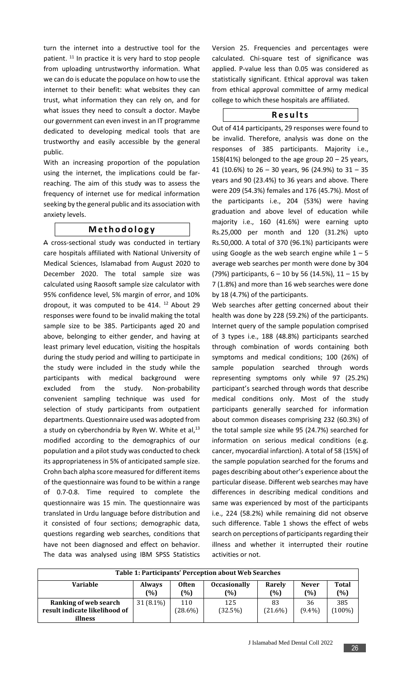turn the internet into a destructive tool for the patient. [11](#page-4-9) In practice it is very hard to stop people from uploading untrustworthy information. What we can do is educate the populace on how to use the internet to their benefit: what websites they can trust, what information they can rely on, and for what issues they need to consult a doctor. Maybe our government can even invest in an IT programme dedicated to developing medical tools that are trustworthy and easily accessible by the general public.

With an increasing proportion of the population using the internet, the implications could be farreaching. The aim of this study was to assess the frequency of internet use for medical information seeking by the general public and its association with anxiety levels.

# **M e t h o d o l o g y**

A cross-sectional study was conducted in tertiary care hospitals affiliated with National University of Medical Sciences, Islamabad from August 2020 to December 2020. The total sample size was calculated using Raosoft sample size calculator with 95% confidence level, 5% margin of error, and 10% dropout, it was computed to be 414.  $12$  About 29 responses were found to be invalid making the total sample size to be 385. Participants aged 20 and above, belonging to either gender, and having at least primary level education, visiting the hospitals during the study period and willing to participate in the study were included in the study while the participants with medical background were excluded from the study. Non-probability convenient sampling technique was used for selection of study participants from outpatient departments. Questionnaire used was adopted from a study on cyberchondria by Ryen W. White et al, $^{13}$  $^{13}$  $^{13}$ modified according to the demographics of our population and a pilot study was conducted to check its appropriateness in 5% of anticipated sample size. Crohn bach alpha score measured for different items of the questionnaire was found to be within a range of 0.7-0.8. Time required to complete the questionnaire was 15 min. The questionnaire was translated in Urdu language before distribution and it consisted of four sections; demographic data, questions regarding web searches, conditions that have not been diagnosed and effect on behavior. The data was analysed using IBM SPSS Statistics

Version 25. Frequencies and percentages were calculated. Chi-square test of significance was applied. P-value less than 0.05 was considered as statistically significant. Ethical approval was taken from ethical approval committee of army medical college to which these hospitals are affiliated.

# **R e s u l t s**

Out of 414 participants, 29 responses were found to be invalid. Therefore, analysis was done on the responses of 385 participants. Majority i.e., 158(41%) belonged to the age group  $20 - 25$  years, 41 (10.6%) to 26 – 30 years, 96 (24.9%) to 31 – 35 years and 90 (23.4%) to 36 years and above. There were 209 (54.3%) females and 176 (45.7%). Most of the participants i.e., 204 (53%) were having graduation and above level of education while majority i.e., 160 (41.6%) were earning upto Rs.25,000 per month and 120 (31.2%) upto Rs.50,000. A total of 370 (96.1%) participants were using Google as the web search engine while  $1 - 5$ average web searches per month were done by 304 (79%) participants,  $6 - 10$  by 56 (14.5%),  $11 - 15$  by 7 (1.8%) and more than 16 web searches were done by 18 (4.7%) of the participants.

Web searches after getting concerned about their health was done by 228 (59.2%) of the participants. Internet query of the sample population comprised of 3 types i.e., 188 (48.8%) participants searched through combination of words containing both symptoms and medical conditions; 100 (26%) of sample population searched through words representing symptoms only while 97 (25.2%) participant's searched through words that describe medical conditions only. Most of the study participants generally searched for information about common diseases comprising 232 (60.3%) of the total sample size while 95 (24.7%) searched for information on serious medical conditions (e.g. cancer, myocardial infarction). A total of 58 (15%) of the sample population searched for the forums and pages describing about other's experience about the particular disease. Different web searches may have differences in describing medical conditions and same was experienced by most of the participants i.e., 224 (58.2%) while remaining did not observe such difference. Table 1 shows the effect of webs search on perceptions of participants regarding their illness and whether it interrupted their routine activities or not.

| Table 1: Participants' Perception about Web Searches                                                                                 |             |                   |                |                  |                 |                     |  |  |
|--------------------------------------------------------------------------------------------------------------------------------------|-------------|-------------------|----------------|------------------|-----------------|---------------------|--|--|
| <b>Variable</b><br><b>Often</b><br><b>Occasionally</b><br>Rarely<br><b>Never</b><br><b>Always</b><br>(%)<br>(%)<br>(%)<br>(%)<br>(%) |             |                   |                |                  |                 | <b>Total</b><br>(%) |  |  |
| Ranking of web search<br>result indicate likelihood of                                                                               | $31(8.1\%)$ | 110<br>$(28.6\%)$ | 125<br>(32.5%) | 83<br>$(21.6\%)$ | 36<br>$(9.4\%)$ | 385<br>(100%)       |  |  |
| illness                                                                                                                              |             |                   |                |                  |                 |                     |  |  |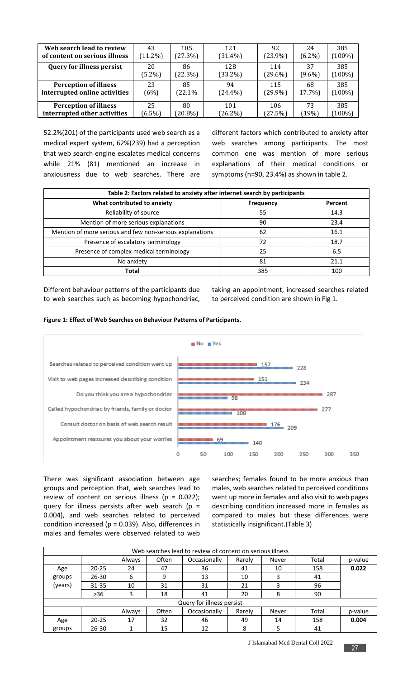| Web search lead to review        | 43         | 105        | 121        | 92         | 24        | 385       |
|----------------------------------|------------|------------|------------|------------|-----------|-----------|
| of content on serious illness    | $(11.2\%)$ | (27.3%)    | $(31.4\%)$ | $(23.9\%)$ | $(6.2\%)$ | $(100\%)$ |
| <b>Query for illness persist</b> | 20         | 86         | 128        | 114        | 37        | 385       |
|                                  | $(5.2\%)$  | (22.3%)    | $(33.2\%)$ | $(29.6\%)$ | $(9.6\%)$ | $(100\%)$ |
| <b>Perception of illness</b>     | 23         | 85         | 94         | 115        | 68        | 385       |
| interrupted online activities    | (6%)       | (22.1%     | $(24.4\%)$ | $(29.9\%)$ | 17.7%)    | $(100\%)$ |
| <b>Perception of illness</b>     | 25         | 80         | 101        | 106        | 73        | 385       |
| interrupted other activities     | $(6.5\%)$  | $(20.8\%)$ | $(26.2\%)$ | (27.5%)    | (19%)     | $(100\%)$ |

52.2%(201) of the participants used web search as a medical expert system, 62%(239) had a perception that web search engine escalates medical concerns while 21% (81) mentioned an increase in anxiousness due to web searches. There are different factors which contributed to anxiety after web searches among participants. The most common one was mention of more serious explanations of their medical conditions or symptoms (n=90, 23.4%) as shown in table 2.

| Table 2: Factors related to anxiety after internet search by participants |                  |         |  |  |  |  |  |
|---------------------------------------------------------------------------|------------------|---------|--|--|--|--|--|
| What contributed to anxiety                                               | <b>Frequency</b> | Percent |  |  |  |  |  |
| Reliability of source                                                     | 55               | 14.3    |  |  |  |  |  |
| Mention of more serious explanations                                      | 90               | 23.4    |  |  |  |  |  |
| Mention of more serious and few non-serious explanations                  | 62               | 16.1    |  |  |  |  |  |
| Presence of escalatory terminology                                        | 72               | 18.7    |  |  |  |  |  |
| Presence of complex medical terminology                                   | 25               | 6.5     |  |  |  |  |  |
| No anxiety                                                                | 81               | 21.1    |  |  |  |  |  |
| <b>Total</b>                                                              | 385              | 100     |  |  |  |  |  |

Different behaviour patterns of the participants due to web searches such as becoming hypochondriac,

taking an appointment, increased searches related to perceived condition are shown in Fig 1.





There was significant association between age groups and perception that, web searches lead to review of content on serious illness ( $p = 0.022$ ); query for illness persists after web search ( $p =$ 0.004), and web searches related to perceived condition increased ( $p = 0.039$ ). Also, differences in males and females were observed related to web

searches; females found to be more anxious than males, web searches related to perceived conditions went up more in females and also visit to web pages describing condition increased more in females as compared to males but these differences were statistically insignificant.(Table 3)

| Web searches lead to review of content on serious illness |           |        |       |                           |        |       |       |         |
|-----------------------------------------------------------|-----------|--------|-------|---------------------------|--------|-------|-------|---------|
|                                                           |           | Always | Often | Occasionally              | Rarely | Never | Total | p-value |
| Age                                                       | $20 - 25$ | 24     | 47    | 36                        | 41     | 10    | 158   | 0.022   |
| groups                                                    | $26 - 30$ | 6      | 9     | 13                        | 10     | 3     | 41    |         |
| (years)                                                   | $31 - 35$ | 10     | 31    | 31                        | 21     | 3     | 96    |         |
|                                                           | $>36$     | 3      | 18    | 41                        | 20     | 8     | 90    |         |
|                                                           |           |        |       | Query for illness persist |        |       |       |         |
|                                                           |           | Always | Often | Occasionally              | Rarely | Never | Total | p-value |
| Age                                                       | $20 - 25$ | 17     | 32    | 46                        | 49     | 14    | 158   | 0.004   |
| groups                                                    | $26 - 30$ |        | 15    | 12                        | 8      |       | 41    |         |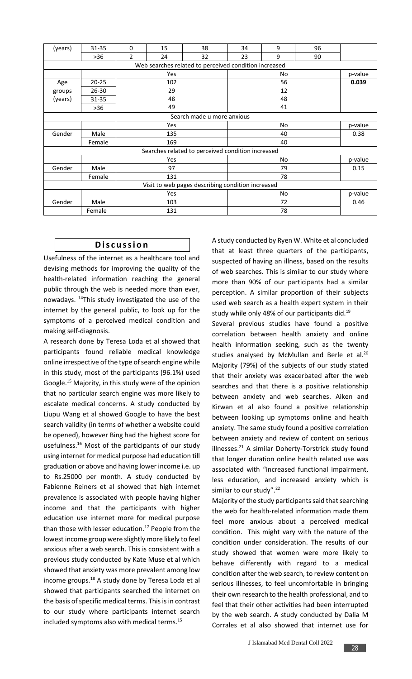| (years) | 31-35     | 0              | 15  | 38                                                    | 34        | 9  | 96 |         |
|---------|-----------|----------------|-----|-------------------------------------------------------|-----------|----|----|---------|
|         | $>36$     | $\overline{2}$ | 24  | 32                                                    | 23        | 9  | 90 |         |
|         |           |                |     | Web searches related to perceived condition increased |           |    |    |         |
|         |           |                | Yes |                                                       | No        |    |    | p-value |
| Age     | $20 - 25$ |                | 102 |                                                       | 56        |    |    | 0.039   |
| groups  | 26-30     |                | 29  |                                                       | 12        |    |    |         |
| (years) | 31-35     | 48             |     |                                                       | 48        |    |    |         |
|         | $>36$     |                | 49  |                                                       | 41        |    |    |         |
|         |           |                |     | Search made u more anxious                            |           |    |    |         |
|         |           |                | Yes |                                                       | <b>No</b> |    |    | p-value |
| Gender  | Male      | 135            |     |                                                       | 40        |    |    | 0.38    |
|         | Female    | 169            |     |                                                       |           | 40 |    |         |
|         |           |                |     | Searches related to perceived condition increased     |           |    |    |         |
|         |           |                | Yes |                                                       |           | No |    | p-value |
| Gender  | Male      | 97             |     |                                                       | 79        |    |    | 0.15    |
|         | Female    |                | 131 |                                                       | 78        |    |    |         |
|         |           |                |     | Visit to web pages describing condition increased     |           |    |    |         |
|         |           |                | Yes |                                                       |           | No |    | p-value |
| Gender  | Male      |                | 103 |                                                       |           | 72 |    | 0.46    |
|         | Female    |                | 131 |                                                       |           | 78 |    |         |

# **D i s c u s s i o n**

Usefulness of the internet as a healthcare tool and devising methods for improving the quality of the health-related information reaching the general public through the web is needed more than ever, nowadays. [14](#page-4-12)This study investigated the use of the internet by the general public, to look up for the symptoms of a perceived medical condition and making self-diagnosis.

A research done by Teresa Loda et al showed that participants found reliable medical knowledge online irrespective of the type of search engine while in this study, most of the participants (96.1%) used Google. [15](#page-4-13) Majority, in this study were of the opinion that no particular search engine was more likely to escalate medical concerns. A study conducted by Liupu Wang et al showed Google to have the best search validity (in terms of whether a website could be opened), however Bing had the highest score for usefulness.[16](#page-4-14) Most of the participants of our study using internet for medical purpose had education till graduation or above and having lower income i.e. up to Rs.25000 per month. A study conducted by Fabienne Reiners et al showed that high internet prevalence is associated with people having higher income and that the participants with higher education use internet more for medical purpose than those with lesser education. $17$  People from the lowest income group were slightly more likely to feel anxious after a web search. This is consistent with a previous study conducted by Kate Muse et al which showed that anxiety was more prevalent among low income groups.<sup>[18](#page-4-16)</sup> A study done by Teresa Loda et al showed that participants searched the internet on the basis of specific medical terms. This is in contrast to our study where participants internet search included symptoms also with medical terms.[15](#page-4-13)

A study conducted by Ryen W. White et al concluded that at least three quarters of the participants, suspected of having an illness, based on the results of web searches. This is similar to our study where more than 90% of our participants had a similar perception. A similar proportion of their subjects used web search as a health expert system in their study while only 48% of our participants did.<sup>[19](#page-4-17)</sup>

Several previous studies have found a positive correlation between health anxiety and online health information seeking, such as the twenty studies analysed by McMullan and Berle et al.<sup>[20](#page-4-18)</sup> Majority (79%) of the subjects of our study stated that their anxiety was exacerbated after the web searches and that there is a positive relationship between anxiety and web searches. Aiken and Kirwan et al also found a positive relationship between looking up symptoms online and health anxiety. The same study found a positive correlation between anxiety and review of content on serious illnesses. $21$  A similar Doherty-Torstrick study found that longer duration online health related use was associated with "increased functional impairment, less education, and increased anxiety which is similar to our study".<sup>[22](#page-4-20)</sup>

Majority of the study participants said that searching the web for health-related information made them feel more anxious about a perceived medical condition. This might vary with the nature of the condition under consideration. The results of our study showed that women were more likely to behave differently with regard to a medical condition after the web search, to review content on serious illnesses, to feel uncomfortable in bringing their own research to the health professional, and to feel that their other activities had been interrupted by the web search. A study conducted by Dalia M Corrales et al also showed that internet use for